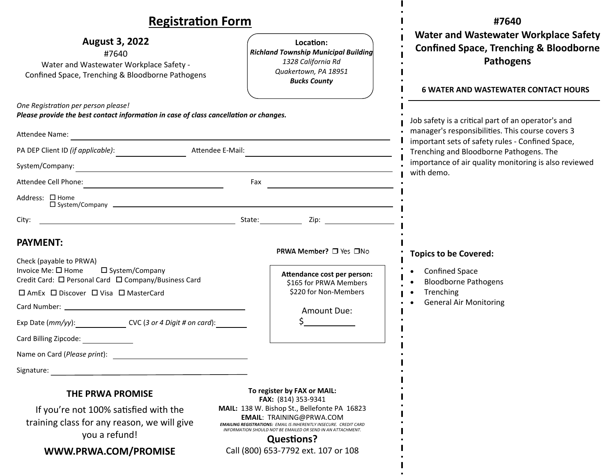| <b>Registration Form</b>                                                                                                                        |                                                                                                                                                              | #7640                                                                                                                                                         |
|-------------------------------------------------------------------------------------------------------------------------------------------------|--------------------------------------------------------------------------------------------------------------------------------------------------------------|---------------------------------------------------------------------------------------------------------------------------------------------------------------|
| <b>August 3, 2022</b><br>#7640<br>Water and Wastewater Workplace Safety -<br>Confined Space, Trenching & Bloodborne Pathogens                   | Location:<br><b>Richland Township Municipal Building</b><br>1328 California Rd<br>Quakertown, PA 18951<br><b>Bucks County</b>                                | <b>Water and Wastewater Workplace Safety</b><br><b>Confined Space, Trenching &amp; Bloodborne</b><br>Pathogens<br><b>6 WATER AND WASTEWATER CONTACT HOURS</b> |
| One Registration per person please!<br>Please provide the best contact information in case of class cancellation or changes.                    |                                                                                                                                                              | Job safety is a critical part of an operator's and<br>manager's responsibilities. This course covers 3                                                        |
| Attendee Name:                                                                                                                                  |                                                                                                                                                              | important sets of safety rules - Confined Space,<br>Trenching and Bloodborne Pathogens. The<br>importance of air quality monitoring is also reviewed          |
| Attendee E-Mail:<br>PA DEP Client ID (if applicable):                                                                                           |                                                                                                                                                              |                                                                                                                                                               |
| System/Company:                                                                                                                                 | <u> 1980 - Andrea Barbara, poeta esperanto-poeta esperanto-poeta esperanto-poeta esperanto-poeta esperanto-poeta</u><br>with demo.                           |                                                                                                                                                               |
|                                                                                                                                                 | Fax                                                                                                                                                          |                                                                                                                                                               |
| Address: □ Home                                                                                                                                 |                                                                                                                                                              |                                                                                                                                                               |
| City:                                                                                                                                           |                                                                                                                                                              |                                                                                                                                                               |
| <b>PAYMENT:</b><br>Check (payable to PRWA)                                                                                                      | PRWA Member? □ Yes □No                                                                                                                                       | <b>Topics to be Covered:</b>                                                                                                                                  |
| Invoice Me: □ Home<br>$\square$ System/Company<br>Credit Card: □ Personal Card □ Company/Business Card<br>□ AmEx □ Discover □ Visa □ MasterCard | Attendance cost per person:<br>\$165 for PRWA Members<br>\$220 for Non-Members                                                                               | <b>Confined Space</b><br><b>Bloodborne Pathogens</b><br>Trenching<br><b>General Air Monitoring</b>                                                            |
|                                                                                                                                                 |                                                                                                                                                              |                                                                                                                                                               |
| Exp Date $(mm/yy)$ : $\qquad \qquad \text{CVC}$ (3 or 4 Digit # on card):                                                                       | Amount Due:                                                                                                                                                  |                                                                                                                                                               |
| Card Billing Zipcode:                                                                                                                           |                                                                                                                                                              |                                                                                                                                                               |
| Name on Card (Please print):                                                                                                                    |                                                                                                                                                              |                                                                                                                                                               |
| Signature:                                                                                                                                      |                                                                                                                                                              |                                                                                                                                                               |
| <b>THE PRWA PROMISE</b><br>If you're not 100% satisfied with the<br>training class for any reason, we will give                                 | To register by FAX or MAIL:<br><b>FAX:</b> (814) 353-9341<br>MAIL: 138 W. Bishop St., Bellefonte PA 16823<br><b>EMAIL: TRAINING@PRWA.COM</b>                 |                                                                                                                                                               |
| you a refund!                                                                                                                                   | <b>EMAILING REGISTRATIONS: EMAIL IS INHERENTLY INSECURE. CREDIT CARD</b><br>INFORMATION SHOULD NOT BE EMAILED OR SEND IN AN ATTACHMENT.<br><b>Questions?</b> |                                                                                                                                                               |
| WWW.PRWA.COM/PROMISE                                                                                                                            | Call (800) 653-7792 ext. 107 or 108                                                                                                                          |                                                                                                                                                               |